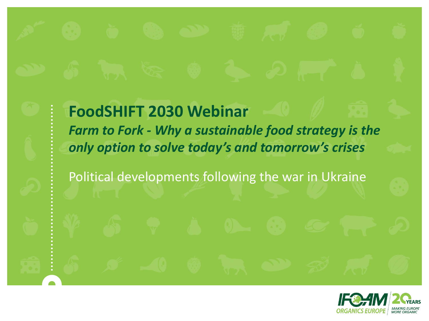**FoodSHIFT 2030 Webinar**  *Farm to Fork - Why a sustainable food strategy is the only option to solve today's and tomorrow's crises*

Political developments following the war in Ukraine

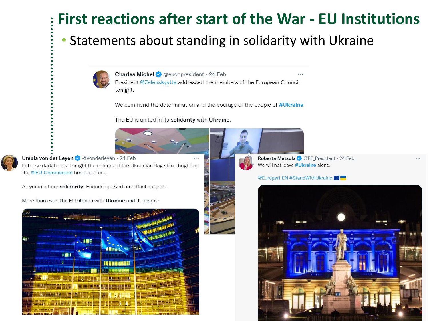## First reactions after start of the War - EU Institutions

#### • Statements about standing in solidarity with Ukraine



Charles Michel @ @ eucopresident · 24 Feb President @ZelenskyyUa addressed the members of the European Council tonight.

We commend the determination and the courage of the people of #Ukraine

The EU is united in its solidarity with Ukraine.



Ursula von der Leyen v @vonderleyen · 24 Feb In these dark hours, tonight the colours of the Ukrainian flag shine bright on the @EU Commission headquarters.

A symbol of our solidarity. Friendship. And steadfast support.

More than ever, the EU stands with Ukraine and its people.



Roberta Metsola @ @EP President · 24 Feb We will not leave #Ukraine alone.

**@Europarl\_EN #StandWithUkraine** 

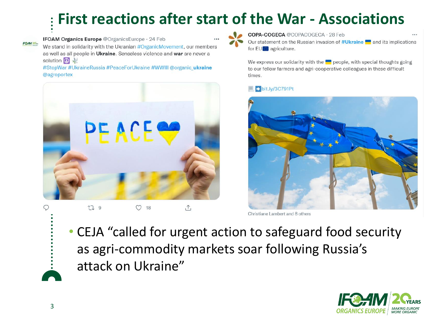## **First reactions after start of the War - Associations**



IFOAM Organics Europe @OrganicsEurope · 24 Feb

We stand in solidarity with the Ukranian #OrganicMovement, our members as well as all people in Ukraine. Senseless violence and war are never a solution  $\left(\begin{matrix} 1 \\ 0 \end{matrix}\right)$ 

#StopWar #UkraineRussia #PeaceForUkraine #WWIII @organic ukraine @agroportex



 $\circ$ LJ 9 18  $\cup$ 

COPA-COGECA @COPACOGECA · 28 Feb Our statement on the Russian invasion of #Ukraine and its implications for EU agriculture.

We express our solidarity with the  $\blacksquare$  people, with special thoughts going to our fellow farmers and agri-cooperative colleagues in these difficult times.

#### $\rightarrow$  bit.ly/3C791Pt



Christiane Lambert and 8 others

• CEJA "called for urgent action to safeguard food security as agri-commodity markets soar following Russia's attack on Ukraine"

 $\uparrow$ 

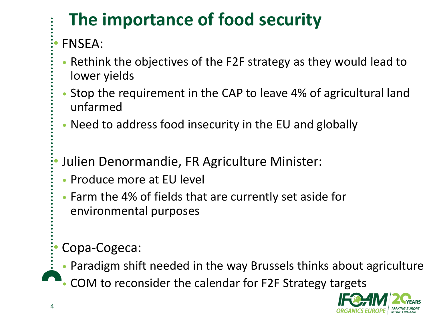# **The importance of food security**

### • FNSEA:

- Rethink the objectives of the F2F strategy as they would lead to lower yields
- Stop the requirement in the CAP to leave 4% of agricultural land unfarmed
- Need to address food insecurity in the EU and globally
- Julien Denormandie, FR Agriculture Minister:
- Produce more at EU level
- Farm the 4% of fields that are currently set aside for environmental purposes

#### • Copa-Cogeca:

- Paradigm shift needed in the way Brussels thinks about agriculture
- COM to reconsider the calendar for F2F Strategy targets

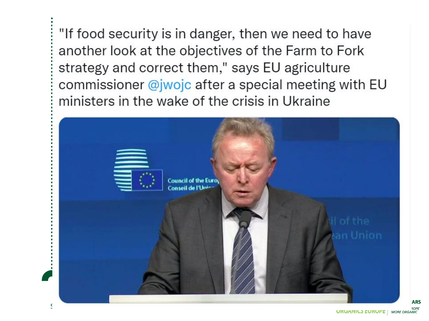"If food security is in danger, then we need to have another look at the objectives of the Farm to Fork strategy and correct them," says EU agriculture commissioner @jwojc after a special meeting with EU ministers in the wake of the crisis in Ukraine



**ARS**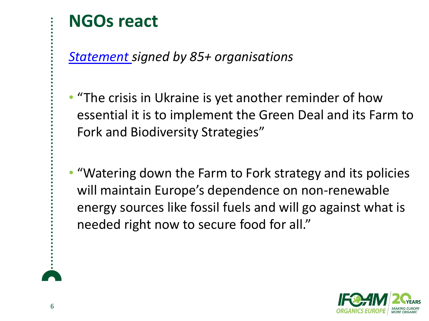## **NGOs react**

*[Statement](https://www.birdlife.org/wp-content/uploads/2022/03/Joint-open-letter_Farm-to-Fork-Food-Security-Russia-Ukraine-War.pdf) signed by 85+ organisations*

- "The crisis in Ukraine is yet another reminder of how essential it is to implement the Green Deal and its Farm to Fork and Biodiversity Strategies"
- "Watering down the Farm to Fork strategy and its policies will maintain Europe's dependence on non-renewable energy sources like fossil fuels and will go against what is needed right now to secure food for all."

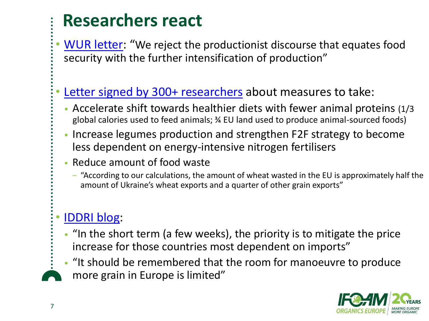## **Researchers react**

• [WUR letter](https://slakner.files.wordpress.com/2022/03/peer-2022-open-letter-war-in-ukraine-and-food-security.pdf): "We reject the productionist discourse that equates food security with the further intensification of production"

#### [Letter signed by 300+ researchers](https://zenodo.org/record/6369812#.Yo393ahBw2z) about measures to take:

- Accelerate shift towards healthier diets with fewer animal proteins (1/3 global calories used to feed animals; ¾ EU land used to produce animal-sourced foods)
- Increase legumes production and strengthen F2F strategy to become less dependent on energy-intensive nitrogen fertilisers
- Reduce amount of food waste
	- ‒ "According to our calculations, the amount of wheat wasted in the EU is approximately half the amount of Ukraine's wheat exports and a quarter of other grain exports"

#### • [IDDRI blog:](https://www.iddri.org/en/publications-and-events/blog-post/war-ukraine-and-food-security-what-are-implications-europe)

- "In the short term (a few weeks), the priority is to mitigate the price increase for those countries most dependent on imports"
- "It should be remembered that the room for manoeuvre to produce more grain in Europe is limited"

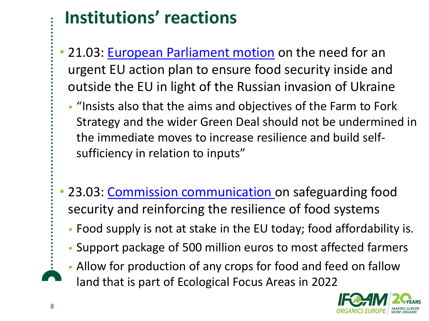## **Institutions' reactions**

- 21.03: [European Parliament motion](https://www.europarl.europa.eu/doceo/document/RC-9-2022-0160_EN.html) on the need for an urgent EU action plan to ensure food security inside and outside the EU in light of the Russian invasion of Ukraine
	- "Insists also that the aims and objectives of the Farm to Fork Strategy and the wider Green Deal should not be undermined in the immediate moves to increase resilience and build selfsufficiency in relation to inputs"
- 23.03: [Commission communication](https://eur-lex.europa.eu/resource.html?uri=cellar:5391557a-aaa2-11ec-83e1-01aa75ed71a1.0002.02/DOC_1&format=PDF) on safeguarding food security and reinforcing the resilience of food systems
	- Food supply is not at stake in the EU today; food affordability is.
	- Support package of 500 million euros to most affected farmers
	- Allow for production of any crops for food and feed on fallow land that is part of Ecological Focus Areas in 2022